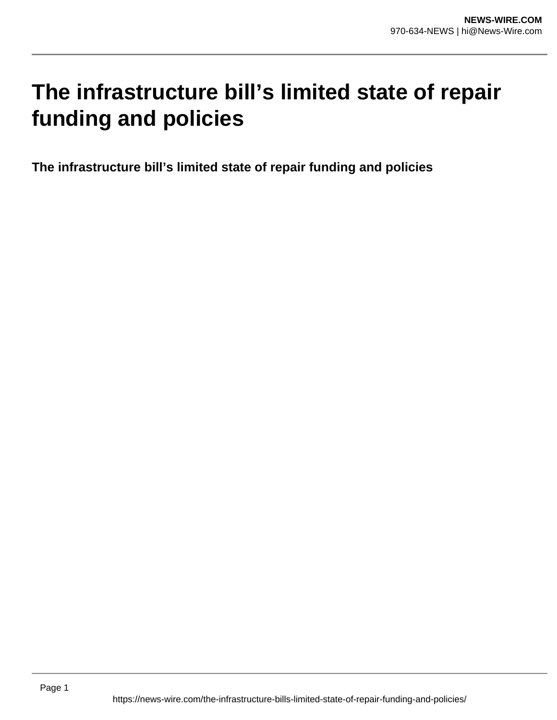# **The infrastructure bill's limited state of repair funding and policies**

**The infrastructure bill's limited state of repair funding and policies**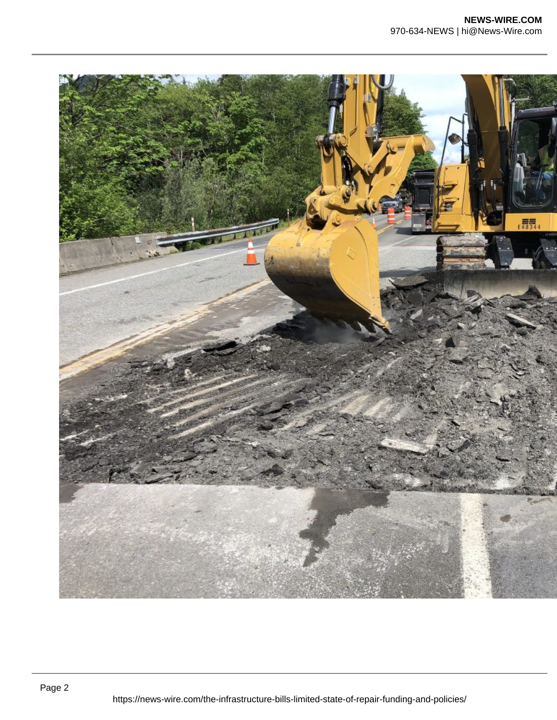

Page 2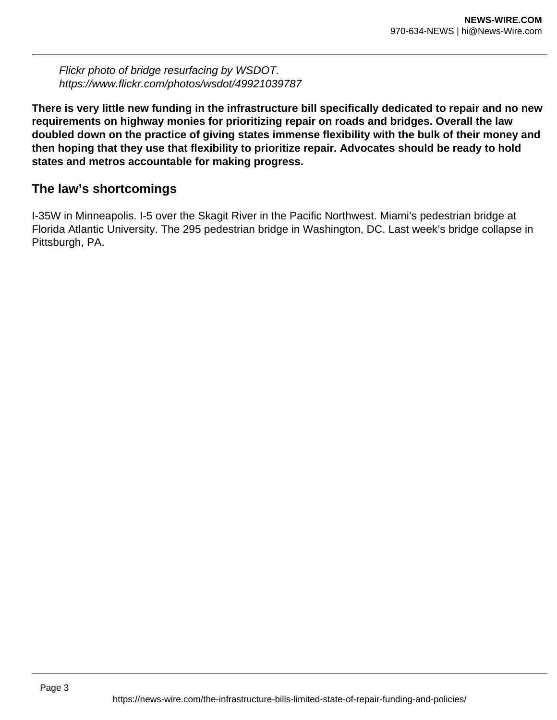Flickr photo of bridge resurfacing by WSDOT. https://www.flickr.com/photos/wsdot/49921039787

**There is very little new funding in the infrastructure bill specifically dedicated to repair and no new requirements on highway monies for prioritizing repair on roads and bridges. Overall the law doubled down on the practice of giving states immense flexibility with the bulk of their money and then hoping that they use that flexibility to prioritize repair. Advocates should be ready to hold states and metros accountable for making progress.** 

### **The law's shortcomings**

I-35W in Minneapolis. I-5 over the Skagit River in the Pacific Northwest. Miami's pedestrian bridge at Florida Atlantic University. The 295 pedestrian bridge in Washington, DC. Last week's bridge collapse in Pittsburgh, PA.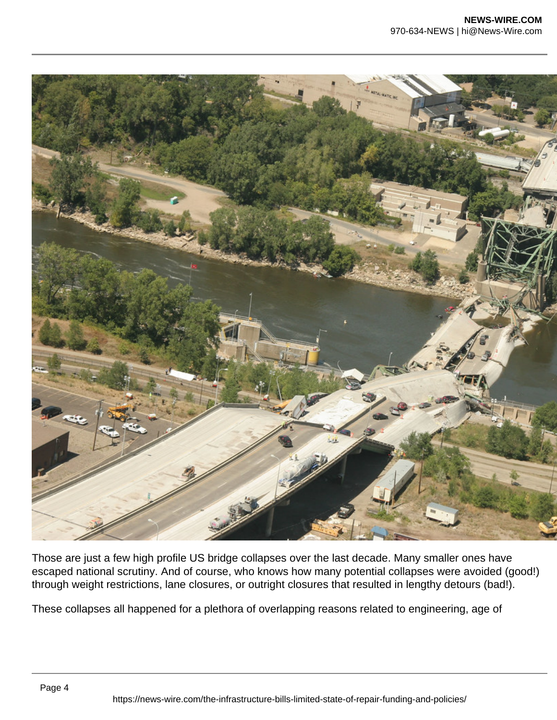

Those are just a few high profile US bridge collapses over the last decade. Many smaller ones have escaped national scrutiny. And of course, who knows how many potential collapses were avoided (good!) through weight restrictions, lane closures, or outright closures that resulted in lengthy detours (bad!).

These collapses all happened for a plethora of overlapping reasons related to engineering, age of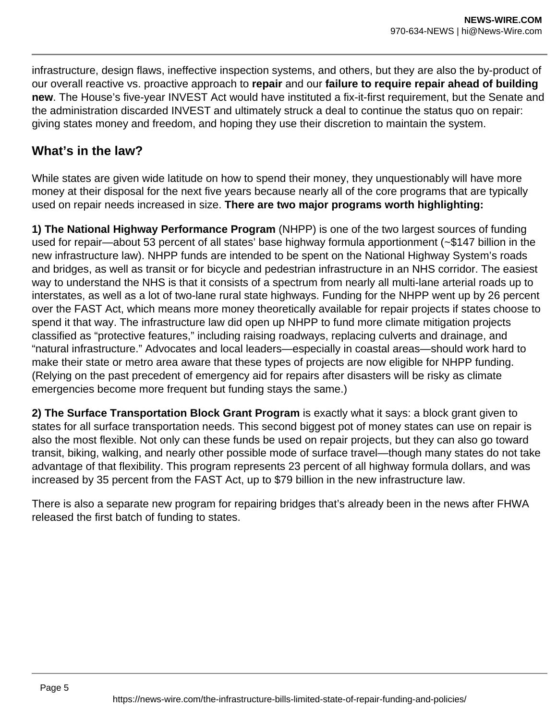infrastructure, design flaws, ineffective inspection systems, and others, but they are also the by-product of our overall reactive vs. proactive approach to **repair** and our **failure to require repair ahead of building new**. The House's five-year INVEST Act would have instituted a fix-it-first requirement, but the Senate and the administration discarded INVEST and ultimately struck a deal to continue the status quo on repair: giving states money and freedom, and hoping they use their discretion to maintain the system.

## **What's in the law?**

While states are given wide latitude on how to spend their money, they unquestionably will have more money at their disposal for the next five years because nearly all of the core programs that are typically used on repair needs increased in size. **There are two major programs worth highlighting:** 

**1) The National Highway Performance Program** (NHPP) is one of the two largest sources of funding used for repair—about 53 percent of all states' base highway formula apportionment (~\$147 billion in the new infrastructure law). NHPP funds are intended to be spent on the National Highway System's roads and bridges, as well as transit or for bicycle and pedestrian infrastructure in an NHS corridor. The easiest way to understand the NHS is that it consists of a spectrum from nearly all multi-lane arterial roads up to interstates, as well as a lot of two-lane rural state highways. Funding for the NHPP went up by 26 percent over the FAST Act, which means more money theoretically available for repair projects if states choose to spend it that way. The infrastructure law did open up NHPP to fund more climate mitigation projects classified as "protective features," including raising roadways, replacing culverts and drainage, and "natural infrastructure." Advocates and local leaders—especially in coastal areas—should work hard to make their state or metro area aware that these types of projects are now eligible for NHPP funding. (Relying on the past precedent of emergency aid for repairs after disasters will be risky as climate emergencies become more frequent but funding stays the same.)

**2) The Surface Transportation Block Grant Program** is exactly what it says: a block grant given to states for all surface transportation needs. This second biggest pot of money states can use on repair is also the most flexible. Not only can these funds be used on repair projects, but they can also go toward transit, biking, walking, and nearly other possible mode of surface travel—though many states do not take advantage of that flexibility. This program represents 23 percent of all highway formula dollars, and was increased by 35 percent from the FAST Act, up to \$79 billion in the new infrastructure law.

There is also a separate new program for repairing bridges that's already been in the news after FHWA released the first batch of funding to states.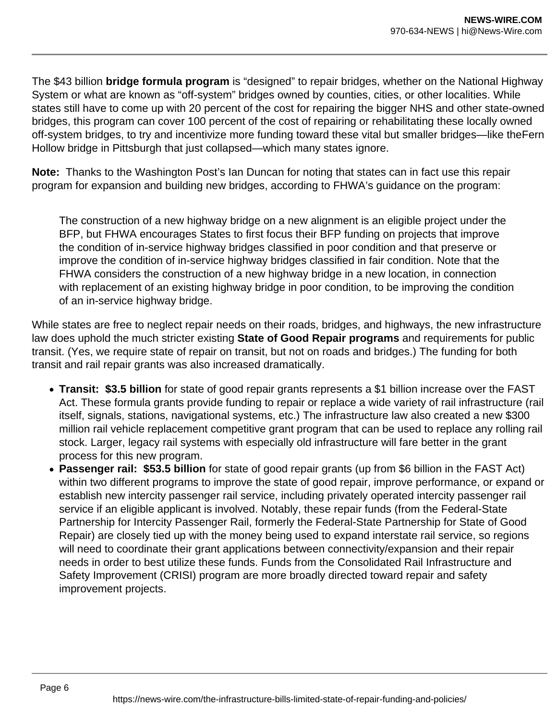The \$43 billion **bridge formula program** is "designed" to repair bridges, whether on the National Highway System or what are known as "off-system" bridges owned by counties, cities, or other localities. While states still have to come up with 20 percent of the cost for repairing the bigger NHS and other state-owned bridges, this program can cover 100 percent of the cost of repairing or rehabilitating these locally owned off-system bridges, to try and incentivize more funding toward these vital but smaller bridges—like theFern Hollow bridge in Pittsburgh that just collapsed—which many states ignore.

**Note:** Thanks to the Washington Post's Ian Duncan for noting that states can in fact use this repair program for expansion and building new bridges, according to FHWA's guidance on the program:

The construction of a new highway bridge on a new alignment is an eligible project under the BFP, but FHWA encourages States to first focus their BFP funding on projects that improve the condition of in-service highway bridges classified in poor condition and that preserve or improve the condition of in-service highway bridges classified in fair condition. Note that the FHWA considers the construction of a new highway bridge in a new location, in connection with replacement of an existing highway bridge in poor condition, to be improving the condition of an in-service highway bridge.

While states are free to neglect repair needs on their roads, bridges, and highways, the new infrastructure law does uphold the much stricter existing **State of Good Repair programs** and requirements for public transit. (Yes, we require state of repair on transit, but not on roads and bridges.) The funding for both transit and rail repair grants was also increased dramatically.

- **Transit: \$3.5 billion** for state of good repair grants represents a \$1 billion increase over the FAST Act. These formula grants provide funding to repair or replace a wide variety of rail infrastructure (rail itself, signals, stations, navigational systems, etc.) The infrastructure law also created a new \$300 million rail vehicle replacement competitive grant program that can be used to replace any rolling rail stock. Larger, legacy rail systems with especially old infrastructure will fare better in the grant process for this new program.
- **Passenger rail: \$53.5 billion** for state of good repair grants (up from \$6 billion in the FAST Act) within two different programs to improve the state of good repair, improve performance, or expand or establish new intercity passenger rail service, including privately operated intercity passenger rail service if an eligible applicant is involved. Notably, these repair funds (from the Federal-State Partnership for Intercity Passenger Rail, formerly the Federal-State Partnership for State of Good Repair) are closely tied up with the money being used to expand interstate rail service, so regions will need to coordinate their grant applications between connectivity/expansion and their repair needs in order to best utilize these funds. Funds from the Consolidated Rail Infrastructure and Safety Improvement (CRISI) program are more broadly directed toward repair and safety improvement projects.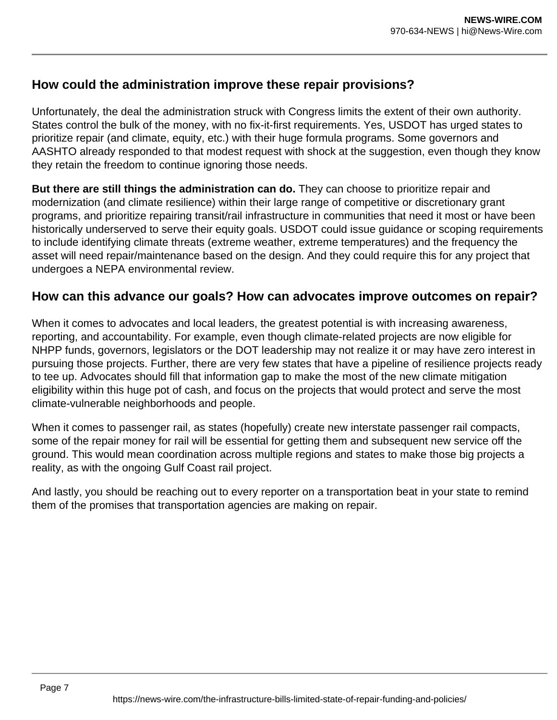### **How could the administration improve these repair provisions?**

Unfortunately, the deal the administration struck with Congress limits the extent of their own authority. States control the bulk of the money, with no fix-it-first requirements. Yes, USDOT has urged states to prioritize repair (and climate, equity, etc.) with their huge formula programs. Some governors and AASHTO already responded to that modest request with shock at the suggestion, even though they know they retain the freedom to continue ignoring those needs.

**But there are still things the administration can do.** They can choose to prioritize repair and modernization (and climate resilience) within their large range of competitive or discretionary grant programs, and prioritize repairing transit/rail infrastructure in communities that need it most or have been historically underserved to serve their equity goals. USDOT could issue guidance or scoping requirements to include identifying climate threats (extreme weather, extreme temperatures) and the frequency the asset will need repair/maintenance based on the design. And they could require this for any project that undergoes a NEPA environmental review.

### **How can this advance our goals? How can advocates improve outcomes on repair?**

When it comes to advocates and local leaders, the greatest potential is with increasing awareness, reporting, and accountability. For example, even though climate-related projects are now eligible for NHPP funds, governors, legislators or the DOT leadership may not realize it or may have zero interest in pursuing those projects. Further, there are very few states that have a pipeline of resilience projects ready to tee up. Advocates should fill that information gap to make the most of the new climate mitigation eligibility within this huge pot of cash, and focus on the projects that would protect and serve the most climate-vulnerable neighborhoods and people.

When it comes to passenger rail, as states (hopefully) create new interstate passenger rail compacts, some of the repair money for rail will be essential for getting them and subsequent new service off the ground. This would mean coordination across multiple regions and states to make those big projects a reality, as with the ongoing Gulf Coast rail project.

And lastly, you should be reaching out to every reporter on a transportation beat in your state to remind them of the promises that transportation agencies are making on repair.